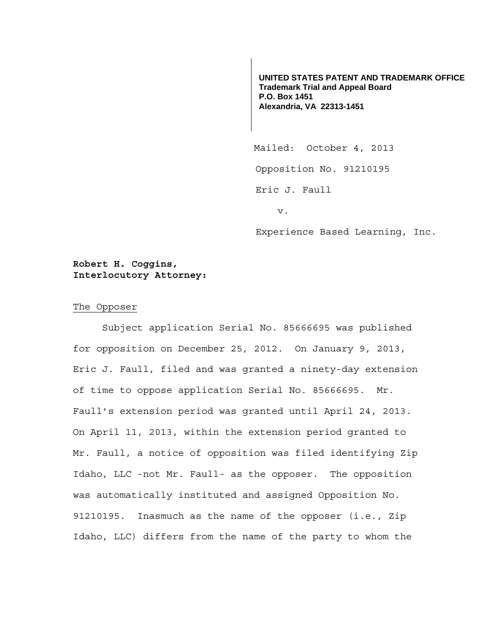**UNITED STATES PATENT AND TRADEMARK OFFICE Trademark Trial and Appeal Board P.O. Box 1451 Alexandria, VA 22313-1451**

 Mailed: October 4, 2013 Opposition No. 91210195 Eric J. Faull v.

Experience Based Learning, Inc.

## **Robert H. Coggins, Interlocutory Attorney:**

## The Opposer

Subject application Serial No. 85666695 was published for opposition on December 25, 2012. On January 9, 2013, Eric J. Faull, filed and was granted a ninety-day extension of time to oppose application Serial No. 85666695. Mr. Faull's extension period was granted until April 24, 2013. On April 11, 2013, within the extension period granted to Mr. Faull, a notice of opposition was filed identifying Zip Idaho, LLC -not Mr. Faull- as the opposer. The opposition was automatically instituted and assigned Opposition No. 91210195. Inasmuch as the name of the opposer (i.e., Zip Idaho, LLC) differs from the name of the party to whom the